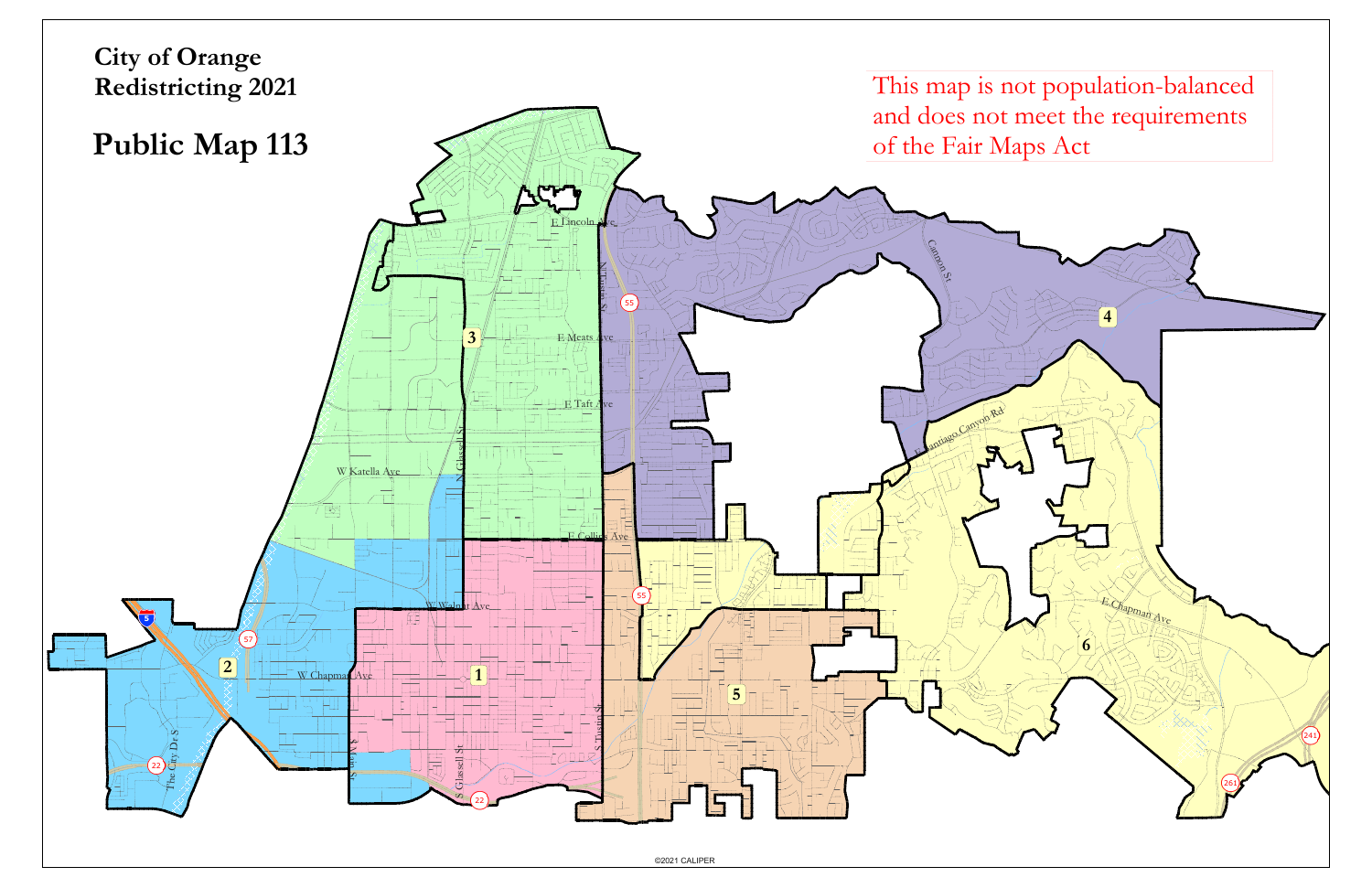